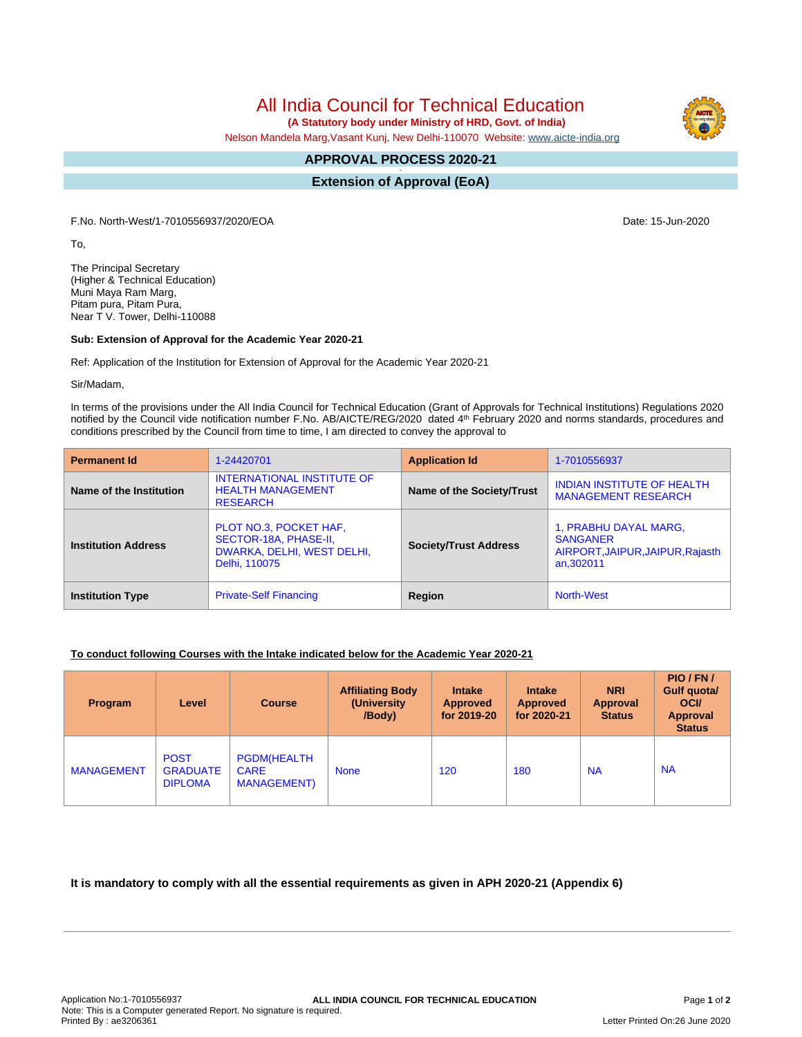All India Council for Technical Education

 **(A Statutory body under Ministry of HRD, Govt. of India)**

Nelson Mandela Marg,Vasant Kunj, New Delhi-110070 Website: [www.aicte-india.org](http://www.aicte-india.org)

## **APPROVAL PROCESS 2020-21 -**

**Extension of Approval (EoA)**

F.No. North-West/1-7010556937/2020/EOA Date: 15-Jun-2020

To,

The Principal Secretary (Higher & Technical Education) Muni Maya Ram Marg, Pitam pura, Pitam Pura, Near T V. Tower, Delhi-110088

## **Sub: Extension of Approval for the Academic Year 2020-21**

Ref: Application of the Institution for Extension of Approval for the Academic Year 2020-21

Sir/Madam,

In terms of the provisions under the All India Council for Technical Education (Grant of Approvals for Technical Institutions) Regulations 2020 notified by the Council vide notification number F.No. AB/AICTE/REG/2020 dated 4<sup>th</sup> February 2020 and norms standards, procedures and conditions prescribed by the Council from time to time, I am directed to convey the approval to

| <b>Permanent Id</b>        | 1-24420701                                                                                     | <b>Application Id</b>            | 1-7010556937                                                                              |  |
|----------------------------|------------------------------------------------------------------------------------------------|----------------------------------|-------------------------------------------------------------------------------------------|--|
| Name of the Institution    | INTERNATIONAL INSTITUTE OF<br><b>HEALTH MANAGEMENT</b><br><b>RESEARCH</b>                      | <b>Name of the Society/Trust</b> | <b>INDIAN INSTITUTE OF HEALTH</b><br><b>MANAGEMENT RESEARCH</b>                           |  |
| <b>Institution Address</b> | PLOT NO.3, POCKET HAF,<br>SECTOR-18A, PHASE-II,<br>DWARKA, DELHI, WEST DELHI,<br>Delhi, 110075 | <b>Society/Trust Address</b>     | 1, PRABHU DAYAL MARG,<br><b>SANGANER</b><br>AIRPORT, JAIPUR, JAIPUR, Rajasth<br>an.302011 |  |
| <b>Institution Type</b>    | <b>Private-Self Financing</b>                                                                  | Region                           | <b>North-West</b>                                                                         |  |

## **To conduct following Courses with the Intake indicated below for the Academic Year 2020-21**

| Program           | Level                                            | <b>Course</b>                                            | <b>Affiliating Body</b><br>(University)<br>/Body) | <b>Intake</b><br><b>Approved</b><br>for 2019-20 | <b>Intake</b><br>Approved<br>for 2020-21 | <b>NRI</b><br>Approval<br><b>Status</b> | PIO/FN/<br>Gulf quota/<br><b>OCI</b><br><b>Approval</b><br><b>Status</b> |
|-------------------|--------------------------------------------------|----------------------------------------------------------|---------------------------------------------------|-------------------------------------------------|------------------------------------------|-----------------------------------------|--------------------------------------------------------------------------|
| <b>MANAGEMENT</b> | <b>POST</b><br><b>GRADUATE</b><br><b>DIPLOMA</b> | <b>PGDM(HEALTH</b><br><b>CARE</b><br><b>MANAGEMENT</b> ) | <b>None</b>                                       | 120                                             | 180                                      | <b>NA</b>                               | <b>NA</b>                                                                |

**It is mandatory to comply with all the essential requirements as given in APH 2020-21 (Appendix 6)**